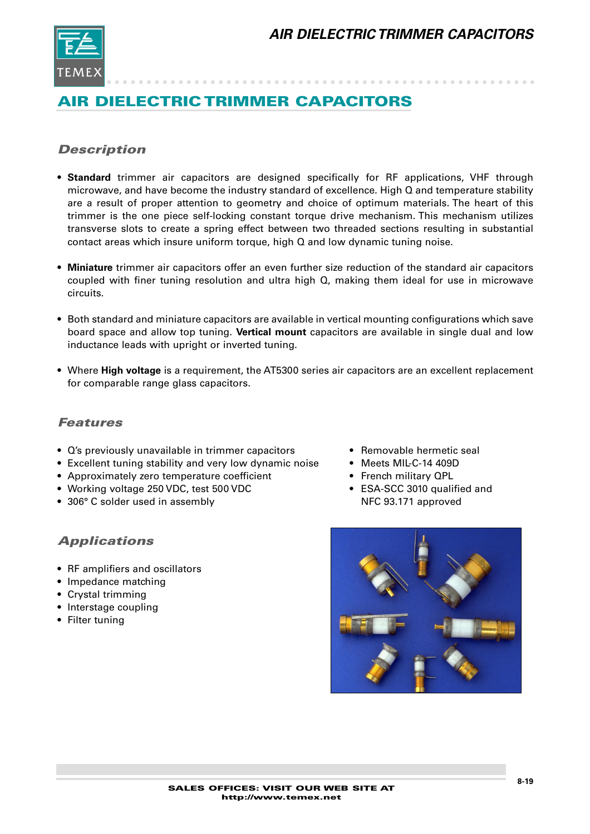

## *Description*

- **Standard** trimmer air capacitors are designed specifically for RF applications, VHF through microwave, and have become the industry standard of excellence. High Q and temperature stability are a result of proper attention to geometry and choice of optimum materials. The heart of this trimmer is the one piece self-locking constant torque drive mechanism. This mechanism utilizes transverse slots to create a spring effect between two threaded sections resulting in substantial contact areas which insure uniform torque, high Q and low dynamic tuning noise.
- **Miniature** trimmer air capacitors offer an even further size reduction of the standard air capacitors coupled with finer tuning resolution and ultra high Q, making them ideal for use in microwave circuits.
- Both standard and miniature capacitors are available in vertical mounting configurations which save board space and allow top tuning. **Vertical mount** capacitors are available in single dual and low inductance leads with upright or inverted tuning.
- Where **High voltage** is a requirement, the AT5300 series air capacitors are an excellent replacement for comparable range glass capacitors.

#### *Features*

- Q's previously unavailable in trimmer capacitors Removable hermetic seal
- Excellent tuning stability and very low dynamic noise Meets MIL-C-14 409D
- Approximately zero temperature coefficient French military QPL
- Working voltage 250 VDC, test 500 VDC errors ESA-SCC 3010 qualified and
- 306° C solder used in assembly NFC 93.171 approved

### *Applications*

- RF amplifiers and oscillators
- Impedance matching
- Crystal trimming
- Interstage coupling
- Filter tuning
- 
- 
- 
- 

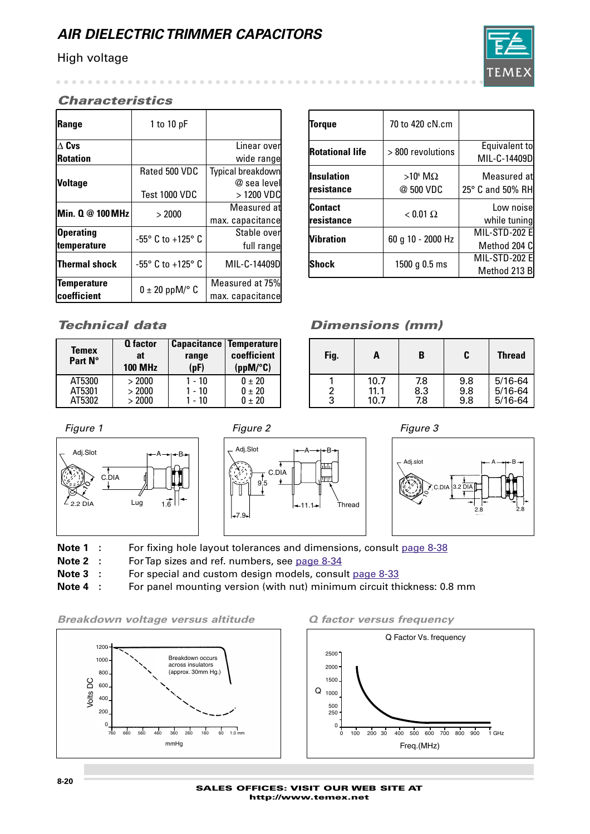#### High voltage

 $\sim$   $\sim$   $\sim$ 

T F.M

#### *Characteristics*

| Range                | 1 to 10 $pF$                        |                   |
|----------------------|-------------------------------------|-------------------|
| $\Delta$ Cvs         |                                     | Linear over       |
| <b>Rotation</b>      |                                     | wide range        |
|                      | Rated 500 VDC                       | Typical breakdown |
| <b>Voltage</b>       |                                     | @ sea level       |
|                      | Test 1000 VDC                       | > 1200 VDC        |
| Min. 0 @ 100 MHz     | > 2000                              | Measured at       |
|                      |                                     | max. capacitance  |
| <b>Operating</b>     | -55 $\degree$ C to +125 $\degree$ C | Stable overl      |
| temperature          |                                     | full range        |
| <b>Thermal shock</b> | $-55^{\circ}$ C to $+125^{\circ}$ C | MIL-C-14409D      |
| <b>Temperature</b>   |                                     | Measured at 75%   |
| coefficient          | $0 \pm 20$ ppM/ $\degree$ C         | max. capacitance  |

| <b>Torque</b>                 | 70 to 420 cN.cm                 |                                          |
|-------------------------------|---------------------------------|------------------------------------------|
| <b>Rotational life</b>        | > 800 revolutions               | Equivalent to<br>MIL-C-14409D            |
| lInsulation<br>Iresistance    | $>10^6$ M $\Omega$<br>@ 500 VDC | Measured at<br>$25^{\circ}$ C and 50% RH |
| <b>Contact</b><br>Iresistance | $< 0.01 \Omega$                 | Low noise<br>while tuning                |
| <b>Nibration</b>              | 60 g 10 - 2000 Hz               | <b>MIL-STD-202 E</b><br>Method 204 C     |
| IShock                        | 1500 g 0.5 ms                   | <b>MIL-STD-202 E</b><br>Method 213 B     |

| <b>Temex</b><br>Part N° | <b>Q</b> factor<br>at<br><b>100 MHz</b> | <b>Capacitance Temperature</b><br>range<br>(pF) | coefficient<br>$(ppM)^{\circ}C$ |
|-------------------------|-----------------------------------------|-------------------------------------------------|---------------------------------|
| AT5300                  | > 2000                                  | $1 - 10$                                        | 0 ± 20                          |
| AT5301                  | > 2000                                  | $1 - 10$                                        | $0 + 20$                        |
| AT5302                  | > 2000                                  | $1 - 10$                                        | $0 \pm 20$                      |

## *Technical data Dimensions (mm)*

| Fig.   | А                    | B                 | C                 | <b>Thread</b>                             |
|--------|----------------------|-------------------|-------------------|-------------------------------------------|
| 2<br>3 | 10.7<br>11.1<br>10.7 | 7.8<br>8.3<br>7.8 | 9.8<br>9.8<br>9.8 | $5/16 - 64$<br>$5/16 - 64$<br>$5/16 - 64$ |









- Note 1 : For fixing hole layout tolerances and dimensions, consult page 8-38
- **Note 2 :** For Tap sizes and ref. numbers, see page 8-34
- **Note 3** : For special and custom design models, consult page 8-33
- **Note 4 :** For panel mounting version (with nut) minimum circuit thickness: 0.8 mm

*Breakdown voltage versus altitude Q factor versus frequency*



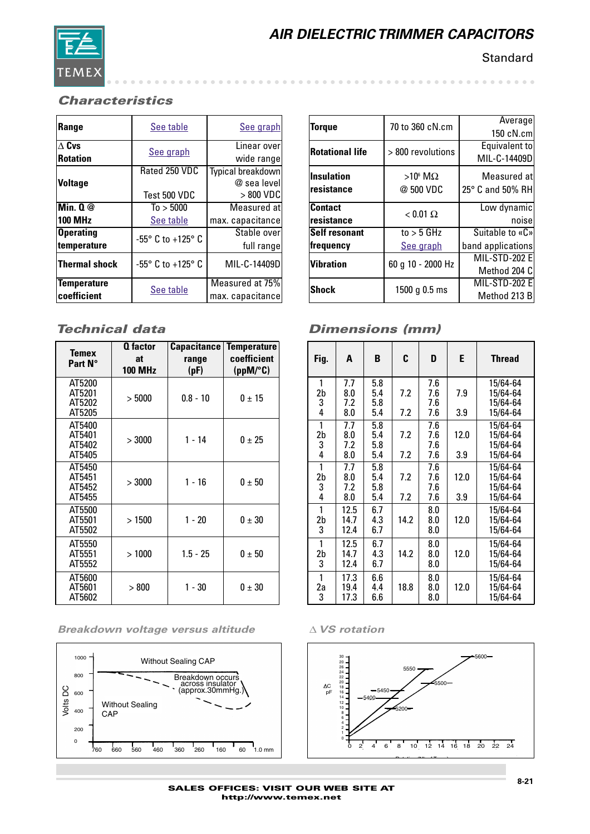

**Standard** 

## *Characteristics*

| Range                   | See table                           | See graph                |
|-------------------------|-------------------------------------|--------------------------|
| $\overline{\Delta}$ Cvs | See graph                           | Linear over              |
| <b>Rotation</b>         |                                     | wide range               |
|                         | Rated 250 VDC                       | <b>Typical breakdown</b> |
| <b>Voltage</b>          |                                     | @ sea level              |
|                         | Test 500 VDC                        | > 800 VDC                |
| Min. $0@$               | To > 5000                           | Measured at              |
| <b>100 MHz</b>          | See table                           | max. capacitance         |
| <b>Operating</b>        | $-55^{\circ}$ C to $+125^{\circ}$ C | Stable over              |
| temperature             |                                     | full range               |
| <b>Thermal shock</b>    | $-55^{\circ}$ C to $+125^{\circ}$ C | MIL-C-14409D             |
| <b>Temperature</b>      | See table                           | Measured at 75%          |
| coefficient             |                                     | max. capacitance         |

| <b>Temex</b>                         | <b>Q</b> factor      |               | <b>Capacitance   Temperature</b> |
|--------------------------------------|----------------------|---------------|----------------------------------|
| Part N°                              | at<br><b>100 MHz</b> | range<br>(pF) | coefficient<br>(ppM/C)           |
| AT5200<br>AT5201<br>AT5202<br>AT5205 | >5000                | $0.8 - 10$    | $0 + 15$                         |
| AT5400<br>AT5401<br>AT5402<br>AT5405 | > 3000               | $1 - 14$      | $0 \pm 25$                       |
| AT5450<br>AT5451<br>AT5452<br>AT5455 | > 3000               | $1 - 16$      | $0 \pm 50$                       |
| AT5500<br>AT5501<br>AT5502           | >1500                | $1 - 20$      | $0 \pm 30$                       |
| AT5550<br>AT5551<br>AT5552           | >1000                | $1.5 - 25$    | $0 \pm 50$                       |
| AT5600<br>AT5601<br>AT5602           | >800                 | $1 - 30$      | $0 \pm 30$                       |

#### *Breakdown voltage versus altitude* ∆ *VS rotation*



|                        | 70 to 360 cN.cm    | Average              |
|------------------------|--------------------|----------------------|
| <b>Torque</b>          |                    | $150c$ N.cm          |
| <b>Rotational life</b> | > 800 revolutions  | Equivalent to        |
|                        |                    | MIL-C-14409D         |
| <b>Insulation</b>      | $>10^6$ M $\Omega$ | Measured at          |
| resistance             | @ 500 VDC          | 25° C and 50% RH     |
|                        |                    |                      |
| <b>Contact</b>         | $< 0.01 \Omega$    | Low dynamic          |
| resistance             |                    | noise                |
| <b>Self resonant</b>   | to $>$ 5 GHz       | Suitable to «C»      |
| frequency              | See graph          | band applications    |
| <b>Vibration</b>       | 60 g 10 - 2000 Hz  | <b>MIL-STD-202 E</b> |
|                        |                    | Method 204 C         |
|                        |                    | <b>MIL-STD-202 E</b> |
| <b>Shock</b>           | 1500 g 0.5 ms      | Method 213 B         |

## *Technical data Dimensions (mm)*

| Fig.    | A            | B          | C    | D          | E    | <b>Thread</b>        |
|---------|--------------|------------|------|------------|------|----------------------|
| 1       | 7.7          | 5.8        |      | 7.6        |      | 15/64-64             |
| 2b      | 8.0          | 5.4        | 7.2  | 7.6        | 7.9  | 15/64-64             |
| 3<br>4  | 7.2<br>8.0   | 5.8<br>5.4 | 7.2  | 7.6<br>7.6 | 3.9  | 15/64-64<br>15/64-64 |
|         |              |            |      |            |      |                      |
| 1       | 7.7          | 5.8        |      | 7.6        |      | 15/64-64             |
| 2b      | 8.0          | 5.4        | 7.2  | 7.6        | 12.0 | 15/64-64             |
| 3<br>4  | 7.2<br>8.0   | 5.8<br>5.4 | 7.2  | 7.6<br>7.6 | 3.9  | 15/64-64<br>15/64-64 |
|         |              |            |      |            |      |                      |
| 1       | 7.7<br>8.0   | 5.8<br>5.4 | 7.2  | 7.6<br>7.6 | 12.0 | 15/64-64             |
| 2b<br>3 | 7.2          | 5.8        |      | 7.6        |      | 15/64-64<br>15/64-64 |
| 4       | 8.0          | 5.4        | 7.2  | 7.6        | 3.9  | 15/64-64             |
| 1       |              |            |      | 8.0        |      |                      |
| 2b      | 12.5<br>14.7 | 6.7<br>4.3 | 14.2 | 8.0        | 12.0 | 15/64-64<br>15/64-64 |
| 3       | 12.4         | 6.7        |      | 8.0        |      | 15/64-64             |
|         |              |            |      |            |      |                      |
| 1       | 12.5         | 6.7        |      | 8.0        |      | 15/64-64             |
| 2b      | 14.7         | 4.3        | 14.2 | 8.0        | 12.0 | 15/64-64             |
| 3       | 12.4         | 6.7        |      | 8.0        |      | 15/64-64             |
| 1       | 17.3         | 6.6        |      | 8.0        |      | 15/64-64             |
| 2a      | 19.4         | 4.4        | 18.8 | 8.0        | 12.0 | 15/64-64             |
| 3       | 17.3         | 6.6        |      | 8.0        |      | 15/64-64             |

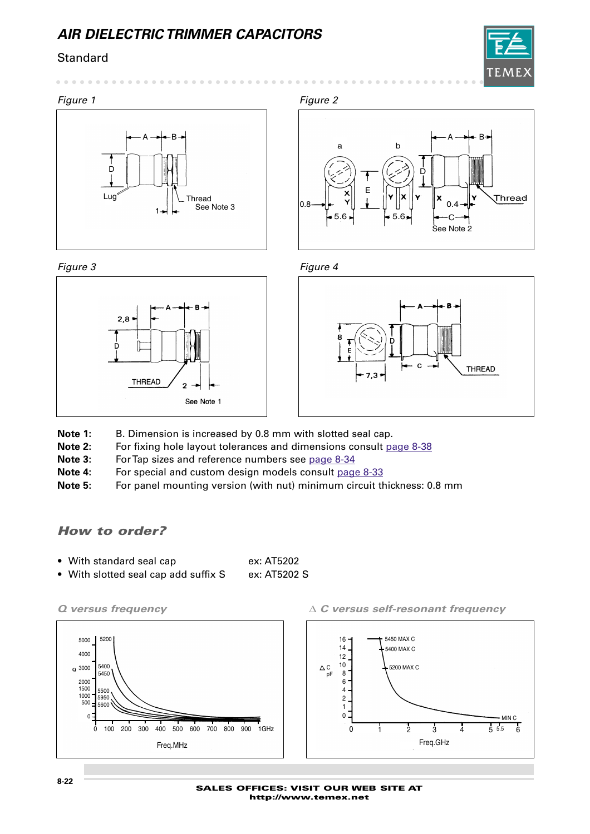## **Standard**



#### *Figure 1 Figure 2*











- Note 1: B. Dimension is increased by 0.8 mm with slotted seal cap.
- **Note 2:** For fixing hole layout tolerances and dimensions consult page 8-38
- Note 3: For Tap sizes and reference numbers see page 8-34

See Note 1

 $\overline{2}$ 

- **Note 4:** For special and custom design models consult page 8-33
- **Note 5:** For panel mounting version (with nut) minimum circuit thickness: 0.8 mm

### *How to order?*

 $2,8$ 

**THREAD** 

- With standard seal cap ex: AT5202
- With slotted seal cap add suffix S ex: AT5202 S

*Q versus frequency* ∆ *C versus self-resonant frequency*

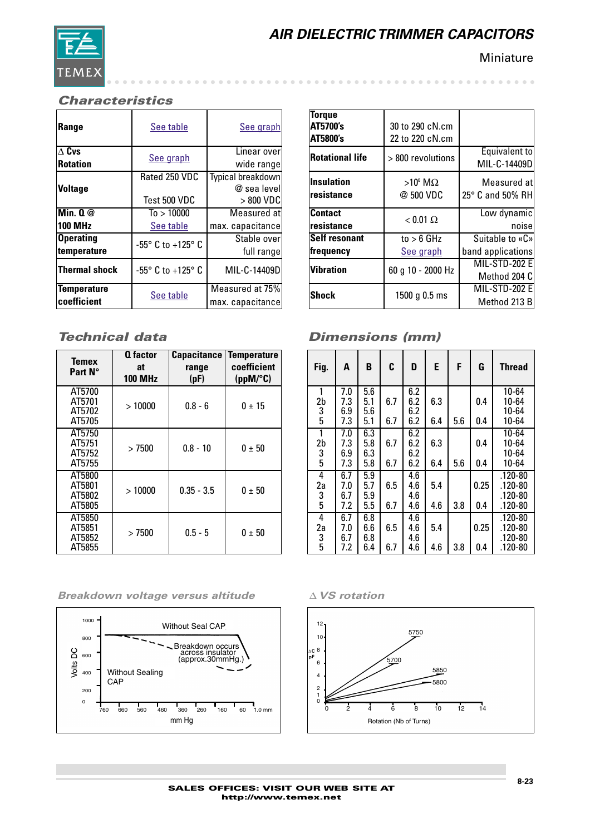

**Miniature** 

#### *Characteristics*

| Range                   | See table                           | See graph                |
|-------------------------|-------------------------------------|--------------------------|
| $\overline{\Delta}$ Cvs | See graph                           | Linear over              |
| <b>Rotation</b>         |                                     | wide range               |
|                         | Rated 250 VDC                       | <b>Typical breakdown</b> |
| <b>Voltage</b>          |                                     | @ sea level              |
|                         | Test 500 VDC                        | $>800$ VDC               |
| Min. Q@                 | To > 10000                          | Measured at              |
| <b>100 MHz</b>          | See table                           | max. capacitance         |
| <b>Operating</b>        | $-55^{\circ}$ C to $+125^{\circ}$ C | Stable over              |
| temperature             |                                     | full range               |
| <b>Thermal shock</b>    | $-55^{\circ}$ C to $+125^{\circ}$ C | MIL-C-14409D             |
| <b>Temperature</b>      | See table                           | Measured at 75%          |
| coefficient             |                                     | max. capacitance         |

| <b>Temex</b><br>Part N°              | <b>Q</b> factor<br>at<br><b>100 MHz</b> | Capacitance<br>range<br>(pF) | <b>Temperature</b><br>coefficient<br>$(ppM)^{\circ}C$ |
|--------------------------------------|-----------------------------------------|------------------------------|-------------------------------------------------------|
| AT5700<br>AT5701<br>AT5702<br>AT5705 | >10000                                  | $0.8 - 6$                    | $0 \pm 15$                                            |
| AT5750<br>AT5751<br>AT5752<br>AT5755 | >7500                                   | $0.8 - 10$                   | $0 + 50$                                              |
| AT5800<br>AT5801<br>AT5802<br>AT5805 | >10000                                  | $0.35 - 3.5$                 | $0 + 50$                                              |
| AT5850<br>AT5851<br>AT5852<br>AT5855 | >7500                                   | $0.5 - 5$                    | $0 + 50$                                              |

*Breakdown voltage versus altitude* ∆ *VS rotation*



| Torque                 |                    |                      |
|------------------------|--------------------|----------------------|
| AT5700's               | 30 to 290 cN.cm    |                      |
| <b>AT5800's</b>        | 22 to 220 cN.cm    |                      |
| <b>Rotational life</b> | > 800 revolutions  | <b>Equivalent to</b> |
|                        |                    | MIL-C-14409D         |
| <b>Insulation</b>      | $>10^6$ M $\Omega$ | Measured at          |
| resistance             | @ 500 VDC          | 25° C and 50% RH     |
| <b>Contact</b>         |                    | Low dynamic          |
| resistance             | $< 0.01 \Omega$    | noise                |
| <b>Self resonant</b>   | to $> 6$ GHz       | Suitable to «C»      |
| frequency              | <b>See graph</b>   | band applications    |
| <b>Vibration</b>       |                    | <b>MIL-STD-202 E</b> |
|                        | 60 g 10 - 2000 Hz  | Method 204 C         |
|                        | 1500 g $0.5$ ms    | MIL-STD-202 E        |
| Shock                  |                    | Method 213 B         |

## *Dimensions (mm)*

| Fig.                                       | A                        | B                        | C          | D                        | E          | F   | G           | <b>Thread</b>                                    |
|--------------------------------------------|--------------------------|--------------------------|------------|--------------------------|------------|-----|-------------|--------------------------------------------------|
| 1<br>2b<br>3<br>5                          | 7.0<br>7.3<br>6.9<br>7.3 | 5.6<br>5.1<br>5.6<br>5.1 | 6.7<br>6.7 | 6.2<br>6.2<br>6.2<br>6.2 | 6.3<br>6.4 | 5.6 | 0.4<br>0.4  | 10-64<br>10-64<br>10-64<br>10-64                 |
| $\overline{1}$<br>2 <sub>b</sub><br>3<br>5 | 7.0<br>7.3<br>6.9<br>7.3 | 6.3<br>5.8<br>6.3<br>5.8 | 6.7<br>6.7 | 6.2<br>6.2<br>6.2<br>6.2 | 6.3<br>6.4 | 5.6 | 0.4<br>0.4  | 10-64<br>10-64<br>10-64<br>10-64                 |
| 4<br>2a<br>3<br>5                          | 6.7<br>7.0<br>6.7<br>7.2 | 5.9<br>5.7<br>5.9<br>5.5 | 6.5<br>6.7 | 4.6<br>4.6<br>4.6<br>4.6 | 5.4<br>4.6 | 3.8 | 0.25<br>0.4 | $.120 - 80$<br>.120-80<br>$.120 - 80$<br>.120-80 |
| 4<br>2a<br>3<br>5                          | 6.7<br>7.0<br>6.7<br>7.2 | 6.8<br>6.6<br>6.8<br>6.4 | 6.5<br>6.7 | 4.6<br>4.6<br>4.6<br>4.6 | 5.4<br>4.6 | 3.8 | 0.25<br>0.4 | $.120 - 80$<br>.120-80<br>.120-80<br>.120-80     |

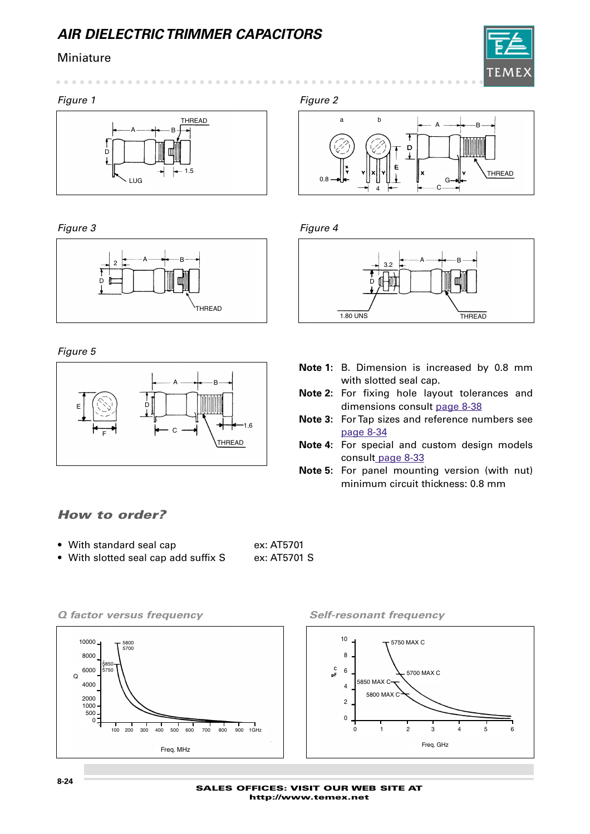### Miniature



*Figure 1 Figure 2*

 $\sim$   $\sim$   $\sim$   $\sim$ 



*Figure 3 Figure 4*



*Figure 5*



## *How to order?*

- With standard seal cap ex: AT5701
- With slotted seal cap add suffix S ex: AT5701 S





 $\sim$   $-$ 





- **Note 1:** B. Dimension is increased by 0.8 mm with slotted seal cap.
- **Note 2:** For fixing hole layout tolerances and dimensions consult page 8-38
- **Note 3:** For Tap sizes and reference numbers see page 8-34
- **Note 4:** For special and custom design models consult page 8-33
- **Note 5:** For panel mounting version (with nut) minimum circuit thickness: 0.8 mm

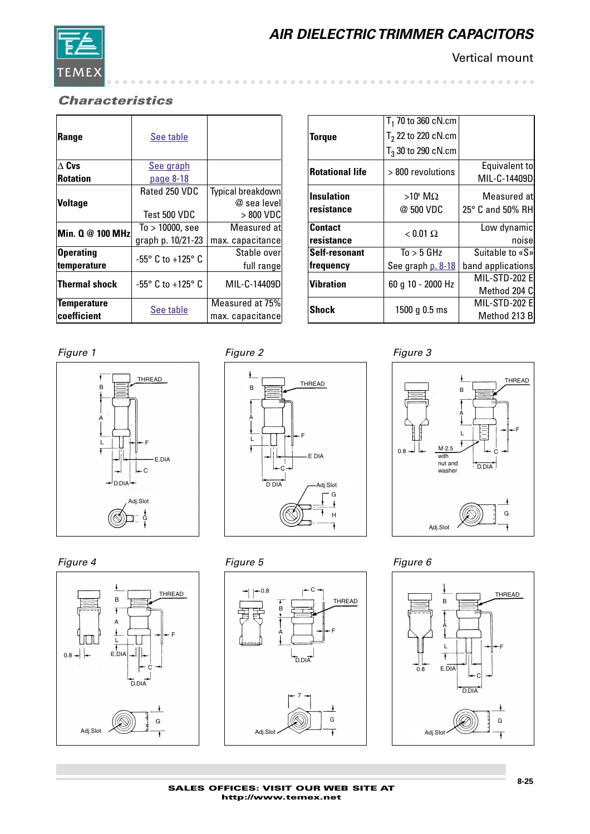

Vertical mount

## *Characteristics*

| Range            | See table          |                   |
|------------------|--------------------|-------------------|
| $\Delta$ Cvs     | See graph          |                   |
| <b>Rotation</b>  | <u>page 8-18</u>   |                   |
|                  | Rated 250 VDC      | Typical breakdown |
| <b>Voltage</b>   |                    | $@$ sea levell    |
|                  | Test 500 VDC       | > 800 VDC         |
| Min. 0 @ 100 MHz | $To > 10000$ , see | Measured atl      |
|                  | graph p. 10/21-23  | max. capacitance  |
| <b>Operating</b> | -55° C to +125° C  | Stable over       |
| temperature      |                    | full range        |
| Thermal shock    | -55° C to +125° C  | MIL-C-14409D      |
| Temperature      |                    | Measured at 75%   |
| coefficient      | See table          | max. capacitance  |

| $T_1$ 70 to 360 cN.cm |                                                                             |
|-----------------------|-----------------------------------------------------------------------------|
| $T2$ 22 to 220 cN.cm  |                                                                             |
| $T_3$ 30 to 290 cN.cm |                                                                             |
|                       | Equivalent to                                                               |
|                       | MIL-C-14409D                                                                |
| $>10^6$ M $\Omega$    | Measured atl                                                                |
| @ 500 VDC             | 25° C and 50% RH                                                            |
|                       | Low dynamic                                                                 |
|                       | noisel                                                                      |
| To > 5 GHz            | Suitable to «S»                                                             |
| See graph p. 8-18     | band applications                                                           |
|                       | MIL-STD-202 E                                                               |
|                       | Method 204 C                                                                |
|                       | <b>MIL-STD-202 EI</b>                                                       |
|                       | Method 213 B                                                                |
|                       | $>800$ revolutions<br>$< 0.01 \Omega$<br>60 g 10 - 2000 Hz<br>1500 g 0.5 ms |

### *Figure 1 Figure 2 Figure 3*















*Figure 4 Figure 5 Figure 6*